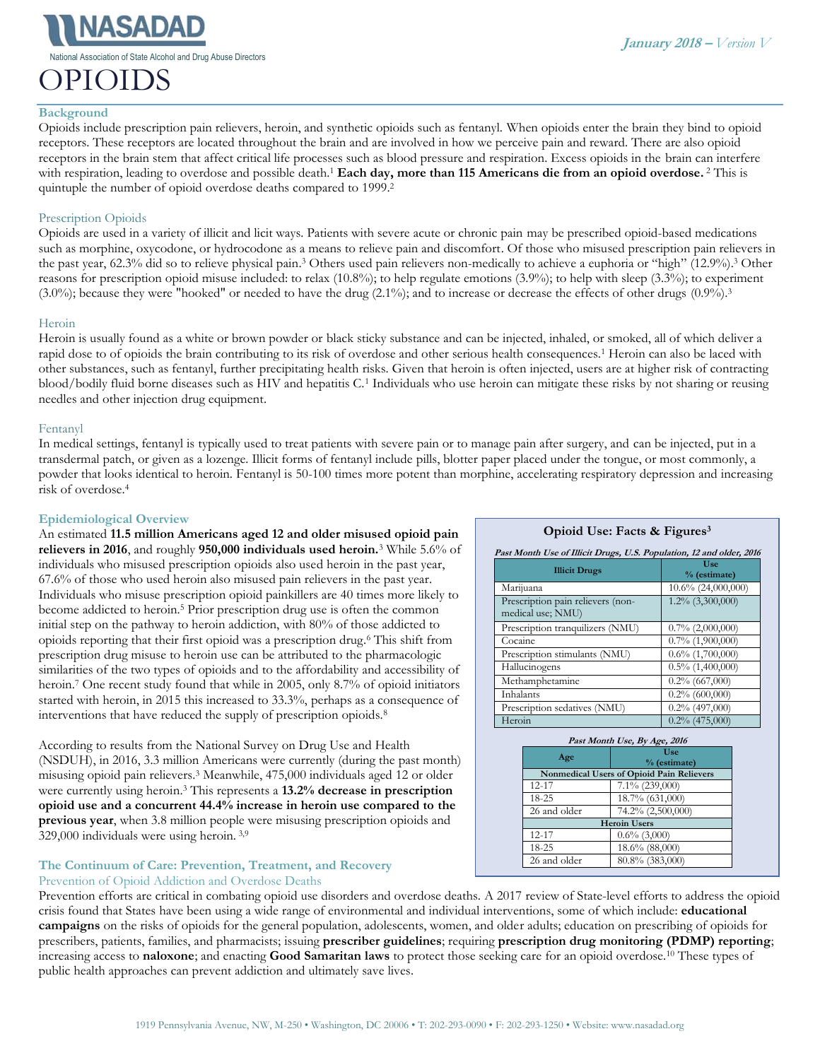National Association of State Alcohol and Drug Abuse Directors

# OPIOIDS

Opioids include prescription pain relievers, heroin, and synthetic opioids such as fentanyl. When opioids enter the brain they bind to opioid receptors. These receptors are located throughout the brain and are involved in how we perceive pain and reward. There are also opioid receptors in the brain stem that affect critical life processes such as blood pressure and respiration. Excess opioids in the brain can interfere with respiration, leading to overdose and possible death.<sup>1</sup> Each day, more than 115 Americans die from an opioid overdose.<sup>2</sup> This is quintuple the number of opioid overdose deaths compared to 1999.<sup>2</sup>

# Prescription Opioids

Opioids are used in a variety of illicit and licit ways. Patients with severe acute or chronic pain may be prescribed opioid-based medications such as morphine, oxycodone, or hydrocodone as a means to relieve pain and discomfort. Of those who misused prescription pain relievers in the past year, 62.3% did so to relieve physical pain.<sup>3</sup> Others used pain relievers non-medically to achieve a euphoria or "high" (12.9%).<sup>3</sup> Other reasons for prescription opioid misuse included: to relax (10.8%); to help regulate emotions (3.9%); to help with sleep (3.3%); to experiment  $(3.0\%)$ ; because they were "hooked" or needed to have the drug  $(2.1\%)$ ; and to increase or decrease the effects of other drugs  $(0.9\%)$ .<sup>3</sup>

## Heroin

Heroin is usually found as a white or brown powder or black sticky substance and can be injected, inhaled, or smoked, all of which deliver a rapid dose to of opioids the brain contributing to its risk of overdose and other serious health consequences.<sup>1</sup> Heroin can also be laced with other substances, such as fentanyl, further precipitating health risks. Given that heroin is often injected, users are at higher risk of contracting blood/bodily fluid borne diseases such as HIV and hepatitis C.<sup>1</sup> Individuals who use heroin can mitigate these risks by not sharing or reusing needles and other injection drug equipment.

## Fentanyl

In medical settings, fentanyl is typically used to treat patients with severe pain or to manage pain after surgery, and can be injected, put in a transdermal patch, or given as a lozenge. Illicit forms of fentanyl include pills, blotter paper placed under the tongue, or most commonly, a powder that looks identical to heroin. Fentanyl is 50-100 times more potent than morphine, accelerating respiratory depression and increasing risk of overdose.<sup>4</sup>

## **Epidemiological Overview**

An estimated **11.5 million Americans aged 12 and older misused opioid pain relievers in 2016**, and roughly **950,000 individuals used heroin.**<sup>3</sup> While 5.6% of individuals who misused prescription opioids also used heroin in the past year, 67.6% of those who used heroin also misused pain relievers in the past year. Individuals who misuse prescription opioid painkillers are 40 times more likely to become addicted to heroin.<sup>5</sup> Prior prescription drug use is often the common initial step on the pathway to heroin addiction, with 80% of those addicted to opioids reporting that their first opioid was a prescription drug. <sup>6</sup> This shift from prescription drug misuse to heroin use can be attributed to the pharmacologic similarities of the two types of opioids and to the affordability and accessibility of heroin.<sup>7</sup> One recent study found that while in 2005, only 8.7% of opioid initiators started with heroin, in 2015 this increased to 33.3%, perhaps as a consequence of interventions that have reduced the supply of prescription opioids.<sup>8</sup>

According to results from the National Survey on Drug Use and Health (NSDUH), in 2016, 3.3 million Americans were currently (during the past month) misusing opioid pain relievers.<sup>3</sup> Meanwhile, 475,000 individuals aged 12 or older were currently using heroin. <sup>3</sup> This represents a **13.2% decrease in prescription opioid use and a concurrent 44.4% increase in heroin use compared to the previous year**, when 3.8 million people were misusing prescription opioids and 329,000 individuals were using heroin. 3,9

## **The Continuum of Care: Prevention, Treatment, and Recovery** Prevention of Opioid Addiction and Overdose Deaths

## Prevention efforts are critical in combating opioid use disorders and overdose deaths. A 2017 review of State-level efforts to address the opioid crisis found that States have been using a wide range of environmental and individual interventions, some of which include: **educational campaigns** on the risks of opioids for the general population, adolescents, women, and older adults; education on prescribing of opioids for prescribers, patients, families, and pharmacists; issuing **prescriber guidelines**; requiring **prescription drug monitoring (PDMP) reporting**; increasing access to **naloxone**; and enacting **Good Samaritan laws** to protect those seeking care for an opioid overdose.<sup>10</sup> These types of public health approaches can prevent addiction and ultimately save lives.

## **Opioid Use: Facts & Figures<sup>3</sup>**

| Past Month Use of Illicit Drugs, U.S. Population, 12 and older, 2016 |                       |
|----------------------------------------------------------------------|-----------------------|
| <b>Illicit Drugs</b>                                                 | Use<br>% (estimate)   |
| Marijuana                                                            | $10.6\%$ (24,000,000) |
| Prescription pain relievers (non-<br>medical use; NMU)               | $1.2\%$ (3,300,000)   |
| Prescription tranquilizers (NMU)                                     | $0.7\%$ (2,000,000)   |
| Cocaine                                                              | $0.7\%$ $(1,900,000)$ |
| Prescription stimulants (NMU)                                        | $0.6\%$ (1,700,000)   |
| Hallucinogens                                                        | $0.5\%$ (1,400,000)   |
| Methamphetamine                                                      | $0.2\%$ (667,000)     |
| Inhalants                                                            | $0.2\%$ (600,000)     |
| Prescription sedatives (NMU)                                         | $0.2\%$ (497,000)     |
| Heroin                                                               | $0.2\%$ (475,000)     |

| Past Month Use, By Age, 2016                              |  |
|-----------------------------------------------------------|--|
| Use                                                       |  |
| % (estimate)<br>Nonmedical Users of Opioid Pain Relievers |  |
| $7.1\%$ (239,000)                                         |  |
| 18.7% (631,000)                                           |  |
| 74.2% (2,500,000)                                         |  |
| <b>Heroin Users</b>                                       |  |
| $0.6\%$ (3,000)                                           |  |
| 18.6% (88,000)                                            |  |
| 80.8% (383,000)                                           |  |
|                                                           |  |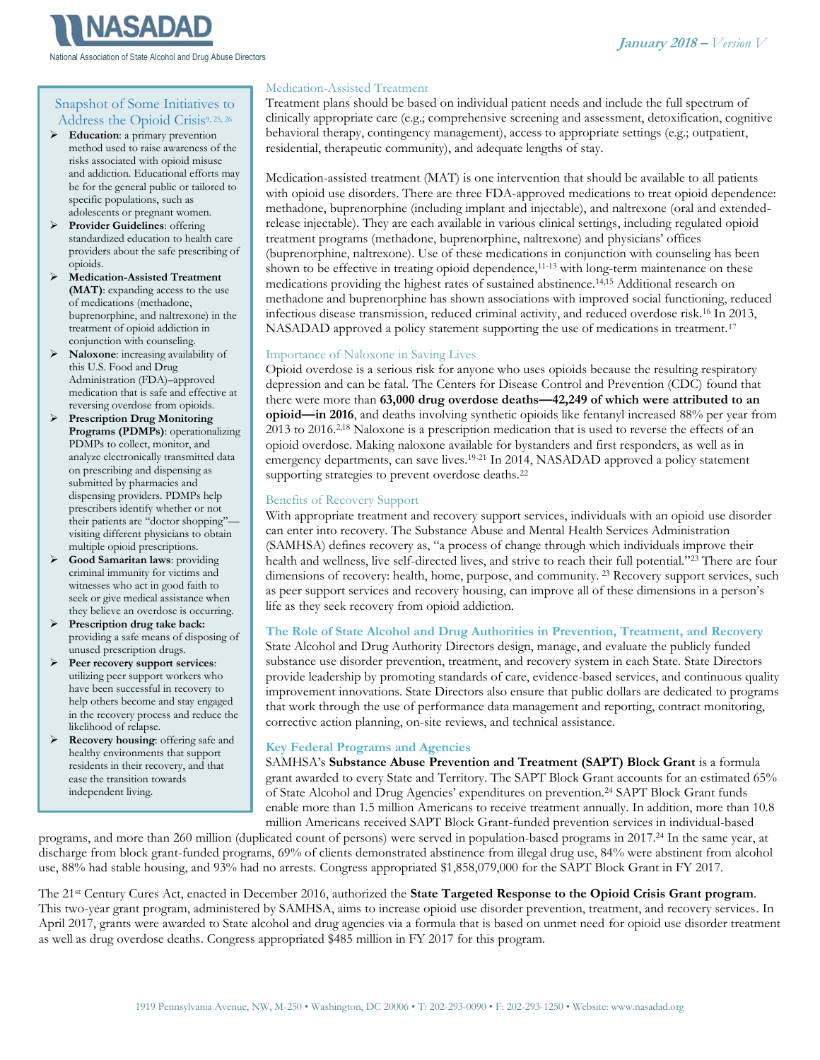

National Association of State Alcohol and Drug Abuse Directors

# Snapshot of Some Initiatives to Address the Opioid Crisis9, 25, 26

- ➢ **Education**: a primary prevention method used to raise awareness of the risks associated with opioid misuse and addiction. Educational efforts may be for the general public or tailored to specific populations, such as adolescents or pregnant women.
- ➢ **Provider Guidelines**: offering standardized education to health care providers about the safe prescribing of opioids.
- ➢ **Medication-Assisted Treatment (MAT)**: expanding access to the use of medications (methadone, buprenorphine, and naltrexone) in the treatment of opioid addiction in conjunction with counseling.
- ➢ **Naloxone**: increasing availability of this U.S. Food and Drug Administration (FDA)–approved medication that is safe and effective at reversing overdose from opioids.
- ➢ **Prescription Drug Monitoring Programs (PDMPs)**: operationalizing PDMPs to collect, monitor, and analyze electronically transmitted data on prescribing and dispensing as submitted by pharmacies and dispensing providers. PDMPs help prescribers identify whether or not their patients are "doctor shopping"visiting different physicians to obtain multiple opioid prescriptions.
- ➢ **Good Samaritan laws**: providing criminal immunity for victims and witnesses who act in good faith to seek or give medical assistance when they believe an overdose is occurring.
- ➢ **Prescription drug take back:** providing a safe means of disposing of unused prescription drugs.
- ➢ **Peer recovery support services**: utilizing peer support workers who have been successful in recovery to help others become and stay engaged in the recovery process and reduce the likelihood of relapse.
- ➢ **Recovery housing**: offering safe and healthy environments that support residents in their recovery, and that ease the transition towards independent living.

## Medication-Assisted Treatment

Treatment plans should be based on individual patient needs and include the full spectrum of clinically appropriate care (e.g.; comprehensive screening and assessment, detoxification, cognitive behavioral therapy, contingency management), access to appropriate settings (e.g.; outpatient, residential, therapeutic community), and adequate lengths of stay.

Medication-assisted treatment (MAT) is one intervention that should be available to all patients with opioid use disorders. There are three FDA-approved medications to treat opioid dependence: methadone, buprenorphine (including implant and injectable), and naltrexone (oral and extendedrelease injectable). They are each available in various clinical settings, including regulated opioid treatment programs (methadone, buprenorphine, naltrexone) and physicians' offices (buprenorphine, naltrexone). Use of these medications in conjunction with counseling has been shown to be effective in treating opioid dependence,<sup>11-13</sup> with long-term maintenance on these medications providing the highest rates of sustained abstinence.14,15 Additional research on methadone and buprenorphine has shown associations with improved social functioning, reduced infectious disease transmission, reduced criminal activity, and reduced overdose risk.<sup>16</sup> In 2013, NASADAD approved a policy statement supporting the use of medications in treatment.<sup>17</sup>

## Importance of Naloxone in Saving Lives

Opioid overdose is a serious risk for anyone who uses opioids because the resulting respiratory depression and can be fatal. The Centers for Disease Control and Prevention (CDC) found that there were more than **63,000 drug overdose deaths—42,249 of which were attributed to an opioid—in 2016**, and deaths involving synthetic opioids like fentanyl increased 88% per year from 2013 to 2016.<sup>2,18</sup> Naloxone is a prescription medication that is used to reverse the effects of an opioid overdose. Making naloxone available for bystanders and first responders, as well as in emergency departments, can save lives.<sup>19-21</sup> In 2014, NASADAD approved a policy statement supporting strategies to prevent overdose deaths.<sup>22</sup>

## Benefits of Recovery Support

With appropriate treatment and recovery support services, individuals with an opioid use disorder can enter into recovery. The Substance Abuse and Mental Health Services Administration (SAMHSA) defines recovery as, "a process of change through which individuals improve their health and wellness, live self-directed lives, and strive to reach their full potential." <sup>23</sup> There are four dimensions of recovery: health, home, purpose, and community. <sup>23</sup> Recovery support services, such as peer support services and recovery housing, can improve all of these dimensions in a person's life as they seek recovery from opioid addiction.

## **The Role of State Alcohol and Drug Authorities in Prevention, Treatment, and Recovery**

State Alcohol and Drug Authority Directors design, manage, and evaluate the publicly funded substance use disorder prevention, treatment, and recovery system in each State. State Directors provide leadership by promoting standards of care, evidence-based services, and continuous quality improvement innovations. State Directors also ensure that public dollars are dedicated to programs that work through the use of performance data management and reporting, contract monitoring, corrective action planning, on-site reviews, and technical assistance.

## **Key Federal Programs and Agencies**

SAMHSA's **Substance Abuse Prevention and Treatment (SAPT) Block Grant** is a formula grant awarded to every State and Territory. The SAPT Block Grant accounts for an estimated 65% of State Alcohol and Drug Agencies' expenditures on prevention.<sup>24</sup> SAPT Block Grant funds enable more than 1.5 million Americans to receive treatment annually. In addition, more than 10.8 million Americans received SAPT Block Grant-funded prevention services in individual-based

programs, and more than 260 million (duplicated count of persons) were served in population-based programs in 2017. <sup>24</sup> In the same year, at discharge from block grant-funded programs, 69% of clients demonstrated abstinence from illegal drug use, 84% were abstinent from alcohol use, 88% had stable housing, and 93% had no arrests. Congress appropriated \$1,858,079,000 for the SAPT Block Grant in FY 2017.

The 21st Century Cures Act, enacted in December 2016, authorized the **State Targeted Response to the Opioid Crisis Grant program**. This two-year grant program, administered by SAMHSA, aims to increase opioid use disorder prevention, treatment, and recovery services. In April 2017, grants were awarded to State alcohol and drug agencies via a formula that is based on unmet need for opioid use disorder treatment as well as drug overdose deaths. Congress appropriated \$485 million in FY 2017 for this program.